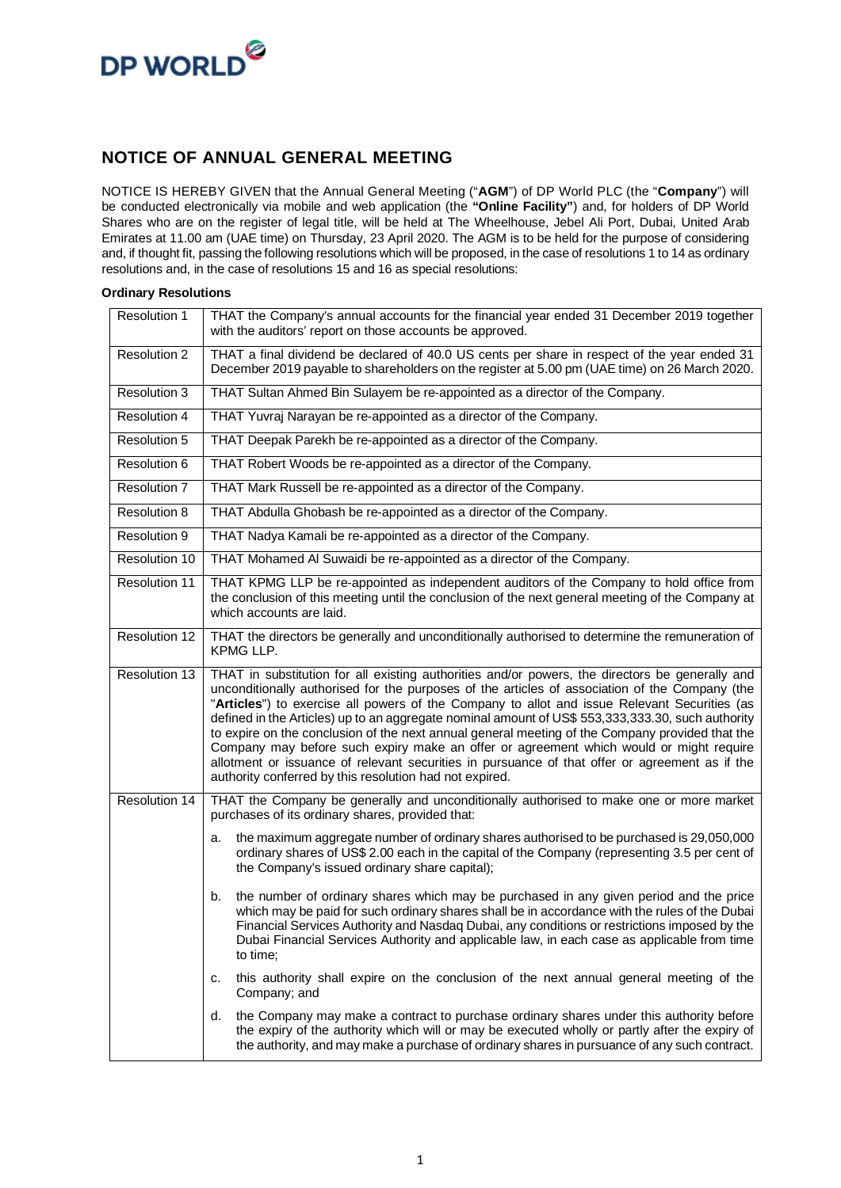

#### **NOTICE OF ANNUAL GENERAL MEETING**

NOTICE IS HEREBY GIVEN that the Annual General Meeting ("**AGM**") of DP World PLC (the "**Company**") will be conducted electronically via mobile and web application (the **"Online Facility"**) and, for holders of DP World Shares who are on the register of legal title, will be held at The Wheelhouse, Jebel Ali Port, Dubai, United Arab Emirates at 11.00 am (UAE time) on Thursday, 23 April 2020. The AGM is to be held for the purpose of considering and, if thought fit, passing the following resolutions which will be proposed, in the case of resolutions 1 to 14 as ordinary resolutions and, in the case of resolutions 15 and 16 as special resolutions:

#### **Ordinary Resolutions**

| Resolution 1        | THAT the Company's annual accounts for the financial year ended 31 December 2019 together<br>with the auditors' report on those accounts be approved.                                                                                                                                                                                                                                                                                                                                                                                                                                                                                                                                                                                                            |
|---------------------|------------------------------------------------------------------------------------------------------------------------------------------------------------------------------------------------------------------------------------------------------------------------------------------------------------------------------------------------------------------------------------------------------------------------------------------------------------------------------------------------------------------------------------------------------------------------------------------------------------------------------------------------------------------------------------------------------------------------------------------------------------------|
| Resolution 2        | THAT a final dividend be declared of 40.0 US cents per share in respect of the year ended 31<br>December 2019 payable to shareholders on the register at 5.00 pm (UAE time) on 26 March 2020.                                                                                                                                                                                                                                                                                                                                                                                                                                                                                                                                                                    |
| <b>Resolution 3</b> | THAT Sultan Ahmed Bin Sulayem be re-appointed as a director of the Company.                                                                                                                                                                                                                                                                                                                                                                                                                                                                                                                                                                                                                                                                                      |
| <b>Resolution 4</b> | THAT Yuvraj Narayan be re-appointed as a director of the Company.                                                                                                                                                                                                                                                                                                                                                                                                                                                                                                                                                                                                                                                                                                |
| <b>Resolution 5</b> | THAT Deepak Parekh be re-appointed as a director of the Company.                                                                                                                                                                                                                                                                                                                                                                                                                                                                                                                                                                                                                                                                                                 |
| Resolution 6        | THAT Robert Woods be re-appointed as a director of the Company.                                                                                                                                                                                                                                                                                                                                                                                                                                                                                                                                                                                                                                                                                                  |
| Resolution 7        | THAT Mark Russell be re-appointed as a director of the Company.                                                                                                                                                                                                                                                                                                                                                                                                                                                                                                                                                                                                                                                                                                  |
| <b>Resolution 8</b> | THAT Abdulla Ghobash be re-appointed as a director of the Company.                                                                                                                                                                                                                                                                                                                                                                                                                                                                                                                                                                                                                                                                                               |
| Resolution 9        | THAT Nadya Kamali be re-appointed as a director of the Company.                                                                                                                                                                                                                                                                                                                                                                                                                                                                                                                                                                                                                                                                                                  |
| Resolution 10       | THAT Mohamed AI Suwaidi be re-appointed as a director of the Company.                                                                                                                                                                                                                                                                                                                                                                                                                                                                                                                                                                                                                                                                                            |
| Resolution 11       | THAT KPMG LLP be re-appointed as independent auditors of the Company to hold office from<br>the conclusion of this meeting until the conclusion of the next general meeting of the Company at<br>which accounts are laid.                                                                                                                                                                                                                                                                                                                                                                                                                                                                                                                                        |
| Resolution 12       | THAT the directors be generally and unconditionally authorised to determine the remuneration of<br>KPMG LLP.                                                                                                                                                                                                                                                                                                                                                                                                                                                                                                                                                                                                                                                     |
| Resolution 13       | THAT in substitution for all existing authorities and/or powers, the directors be generally and<br>unconditionally authorised for the purposes of the articles of association of the Company (the<br>"Articles") to exercise all powers of the Company to allot and issue Relevant Securities (as<br>defined in the Articles) up to an aggregate nominal amount of US\$ 553,333,333.30, such authority<br>to expire on the conclusion of the next annual general meeting of the Company provided that the<br>Company may before such expiry make an offer or agreement which would or might require<br>allotment or issuance of relevant securities in pursuance of that offer or agreement as if the<br>authority conferred by this resolution had not expired. |
| Resolution 14       | THAT the Company be generally and unconditionally authorised to make one or more market<br>purchases of its ordinary shares, provided that:                                                                                                                                                                                                                                                                                                                                                                                                                                                                                                                                                                                                                      |
|                     | the maximum aggregate number of ordinary shares authorised to be purchased is 29,050,000<br>а.<br>ordinary shares of US\$ 2.00 each in the capital of the Company (representing 3.5 per cent of<br>the Company's issued ordinary share capital);                                                                                                                                                                                                                                                                                                                                                                                                                                                                                                                 |
|                     | the number of ordinary shares which may be purchased in any given period and the price<br>b.<br>which may be paid for such ordinary shares shall be in accordance with the rules of the Dubai<br>Financial Services Authority and Nasdaq Dubai, any conditions or restrictions imposed by the<br>Dubai Financial Services Authority and applicable law, in each case as applicable from time<br>to time;                                                                                                                                                                                                                                                                                                                                                         |
|                     | this authority shall expire on the conclusion of the next annual general meeting of the<br>c.<br>Company; and                                                                                                                                                                                                                                                                                                                                                                                                                                                                                                                                                                                                                                                    |
|                     | the Company may make a contract to purchase ordinary shares under this authority before<br>d.<br>the expiry of the authority which will or may be executed wholly or partly after the expiry of<br>the authority, and may make a purchase of ordinary shares in pursuance of any such contract.                                                                                                                                                                                                                                                                                                                                                                                                                                                                  |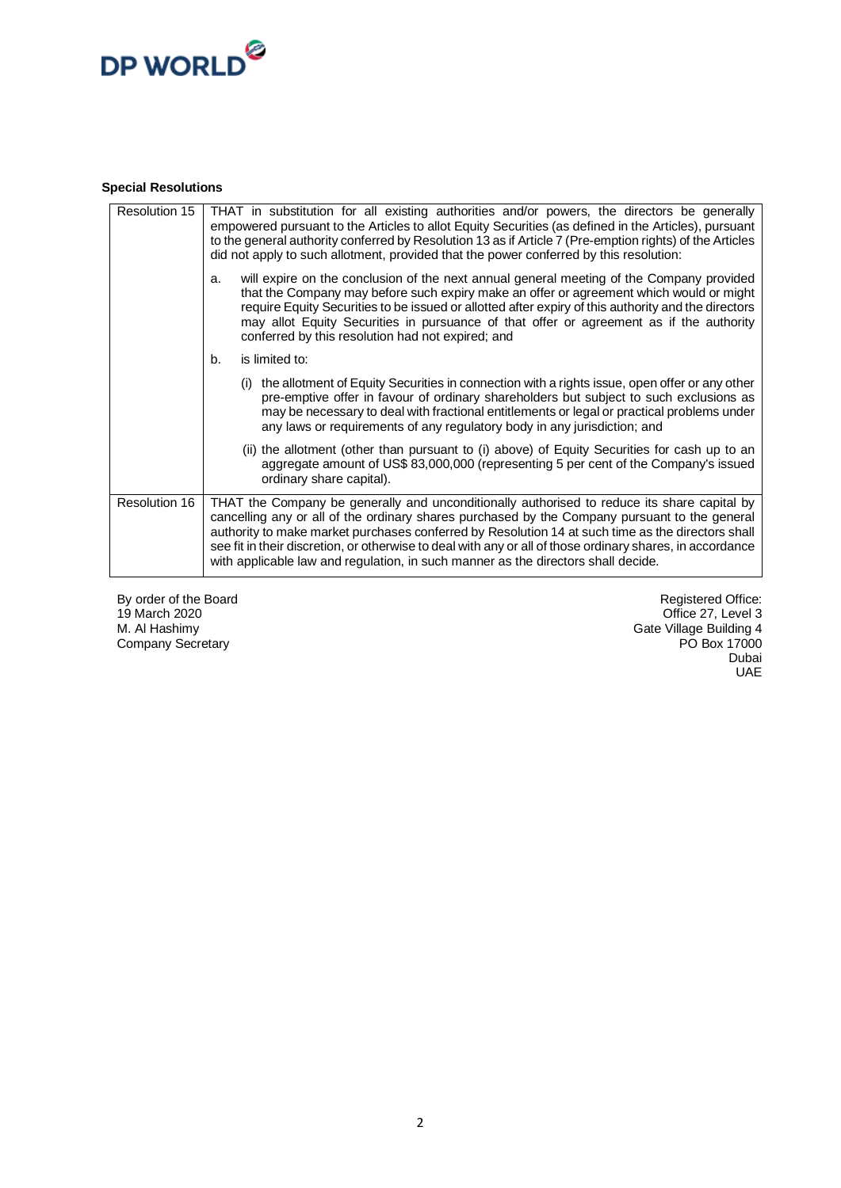## DP WORLD<sup>@</sup>

#### **Special Resolutions**

| Resolution 15 | THAT in substitution for all existing authorities and/or powers, the directors be generally<br>empowered pursuant to the Articles to allot Equity Securities (as defined in the Articles), pursuant<br>to the general authority conferred by Resolution 13 as if Article 7 (Pre-emption rights) of the Articles<br>did not apply to such allotment, provided that the power conferred by this resolution:                                                                                           |
|---------------|-----------------------------------------------------------------------------------------------------------------------------------------------------------------------------------------------------------------------------------------------------------------------------------------------------------------------------------------------------------------------------------------------------------------------------------------------------------------------------------------------------|
|               | will expire on the conclusion of the next annual general meeting of the Company provided<br>a.<br>that the Company may before such expiry make an offer or agreement which would or might<br>require Equity Securities to be issued or allotted after expiry of this authority and the directors<br>may allot Equity Securities in pursuance of that offer or agreement as if the authority<br>conferred by this resolution had not expired; and                                                    |
|               | is limited to:<br>b.                                                                                                                                                                                                                                                                                                                                                                                                                                                                                |
|               | (i) the allotment of Equity Securities in connection with a rights issue, open offer or any other<br>pre-emptive offer in favour of ordinary shareholders but subject to such exclusions as<br>may be necessary to deal with fractional entitlements or legal or practical problems under<br>any laws or requirements of any regulatory body in any jurisdiction; and                                                                                                                               |
|               | (ii) the allotment (other than pursuant to (i) above) of Equity Securities for cash up to an<br>aggregate amount of US\$ 83,000,000 (representing 5 per cent of the Company's issued<br>ordinary share capital).                                                                                                                                                                                                                                                                                    |
| Resolution 16 | THAT the Company be generally and unconditionally authorised to reduce its share capital by<br>cancelling any or all of the ordinary shares purchased by the Company pursuant to the general<br>authority to make market purchases conferred by Resolution 14 at such time as the directors shall<br>see fit in their discretion, or otherwise to deal with any or all of those ordinary shares, in accordance<br>with applicable law and regulation, in such manner as the directors shall decide. |

By order of the Board 19 March 2020 M. Al Hashimy Company Secretary

Registered Office: Office 27, Level 3 Gate Village Building 4 PO Box 17000 Dubai UAE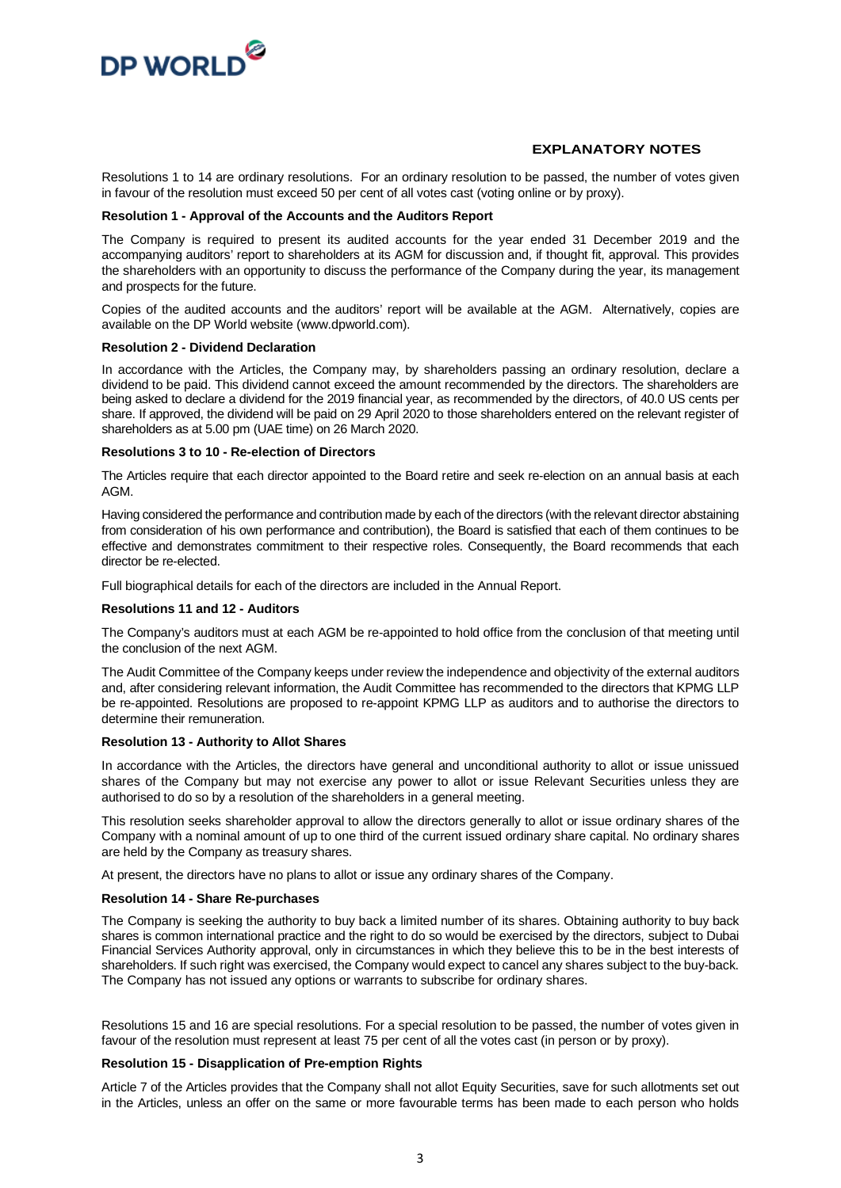

#### **EXPLANATORY NOTES**

Resolutions 1 to 14 are ordinary resolutions. For an ordinary resolution to be passed, the number of votes given in favour of the resolution must exceed 50 per cent of all votes cast (voting online or by proxy).

#### **Resolution 1 - Approval of the Accounts and the Auditors Report**

The Company is required to present its audited accounts for the year ended 31 December 2019 and the accompanying auditors' report to shareholders at its AGM for discussion and, if thought fit, approval. This provides the shareholders with an opportunity to discuss the performance of the Company during the year, its management and prospects for the future.

Copies of the audited accounts and the auditors' report will be available at the AGM. Alternatively, copies are available on the DP World website (www.dpworld.com).

#### **Resolution 2 - Dividend Declaration**

In accordance with the Articles, the Company may, by shareholders passing an ordinary resolution, declare a dividend to be paid. This dividend cannot exceed the amount recommended by the directors. The shareholders are being asked to declare a dividend for the 2019 financial year, as recommended by the directors, of 40.0 US cents per share. If approved, the dividend will be paid on 29 April 2020 to those shareholders entered on the relevant register of shareholders as at 5.00 pm (UAE time) on 26 March 2020.

#### **Resolutions 3 to 10 - Re-election of Directors**

The Articles require that each director appointed to the Board retire and seek re-election on an annual basis at each AGM.

Having considered the performance and contribution made by each of the directors (with the relevant director abstaining from consideration of his own performance and contribution), the Board is satisfied that each of them continues to be effective and demonstrates commitment to their respective roles. Consequently, the Board recommends that each director be re-elected.

Full biographical details for each of the directors are included in the Annual Report.

#### **Resolutions 11 and 12 - Auditors**

The Company's auditors must at each AGM be re-appointed to hold office from the conclusion of that meeting until the conclusion of the next AGM.

The Audit Committee of the Company keeps under review the independence and objectivity of the external auditors and, after considering relevant information, the Audit Committee has recommended to the directors that KPMG LLP be re-appointed. Resolutions are proposed to re-appoint KPMG LLP as auditors and to authorise the directors to determine their remuneration.

#### **Resolution 13 - Authority to Allot Shares**

In accordance with the Articles, the directors have general and unconditional authority to allot or issue unissued shares of the Company but may not exercise any power to allot or issue Relevant Securities unless they are authorised to do so by a resolution of the shareholders in a general meeting.

This resolution seeks shareholder approval to allow the directors generally to allot or issue ordinary shares of the Company with a nominal amount of up to one third of the current issued ordinary share capital. No ordinary shares are held by the Company as treasury shares.

At present, the directors have no plans to allot or issue any ordinary shares of the Company.

#### **Resolution 14 - Share Re-purchases**

The Company is seeking the authority to buy back a limited number of its shares. Obtaining authority to buy back shares is common international practice and the right to do so would be exercised by the directors, subject to Dubai Financial Services Authority approval, only in circumstances in which they believe this to be in the best interests of shareholders. If such right was exercised, the Company would expect to cancel any shares subject to the buy-back. The Company has not issued any options or warrants to subscribe for ordinary shares.

Resolutions 15 and 16 are special resolutions. For a special resolution to be passed, the number of votes given in favour of the resolution must represent at least 75 per cent of all the votes cast (in person or by proxy).

#### **Resolution 15 - Disapplication of Pre-emption Rights**

Article 7 of the Articles provides that the Company shall not allot Equity Securities, save for such allotments set out in the Articles, unless an offer on the same or more favourable terms has been made to each person who holds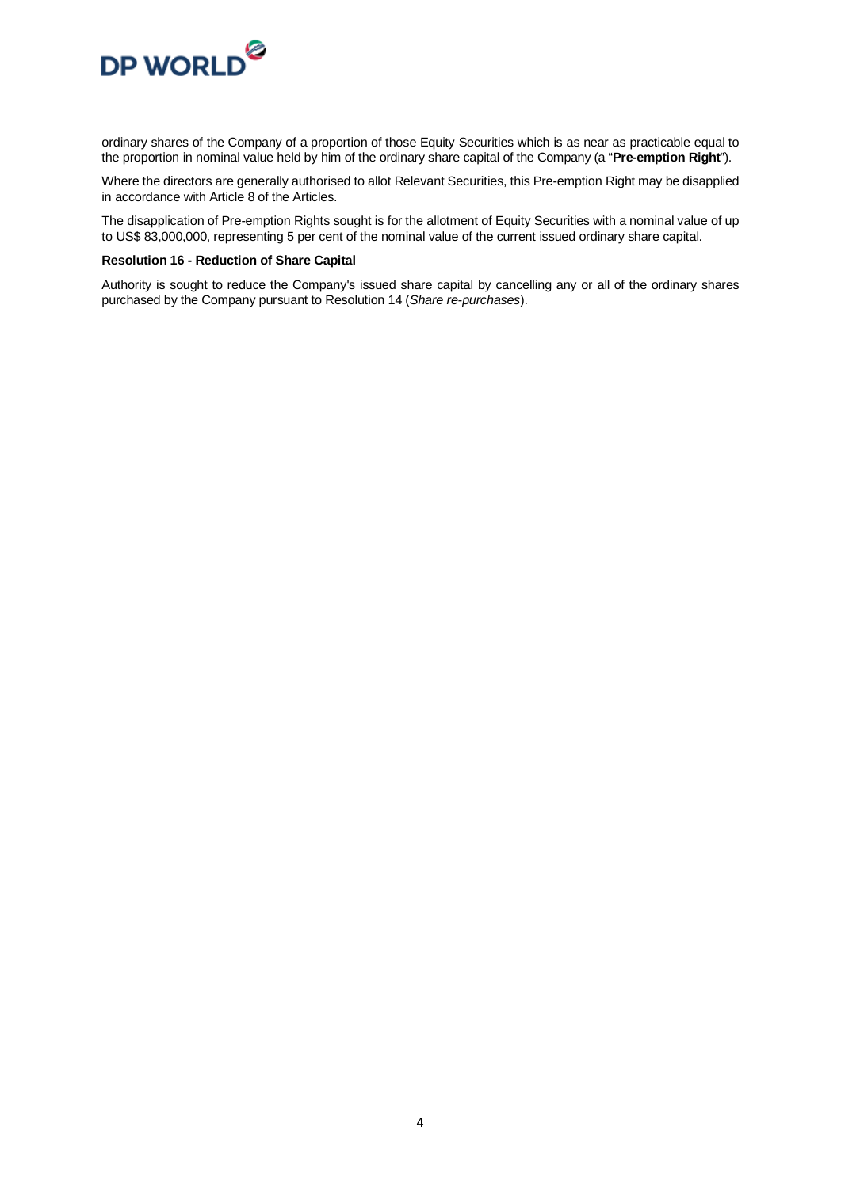

ordinary shares of the Company of a proportion of those Equity Securities which is as near as practicable equal to the proportion in nominal value held by him of the ordinary share capital of the Company (a "**Pre-emption Right**").

Where the directors are generally authorised to allot Relevant Securities, this Pre-emption Right may be disapplied in accordance with Article 8 of the Articles.

The disapplication of Pre-emption Rights sought is for the allotment of Equity Securities with a nominal value of up to US\$ 83,000,000, representing 5 per cent of the nominal value of the current issued ordinary share capital.

#### **Resolution 16 - Reduction of Share Capital**

Authority is sought to reduce the Company's issued share capital by cancelling any or all of the ordinary shares purchased by the Company pursuant to Resolution 14 (*Share re-purchases*).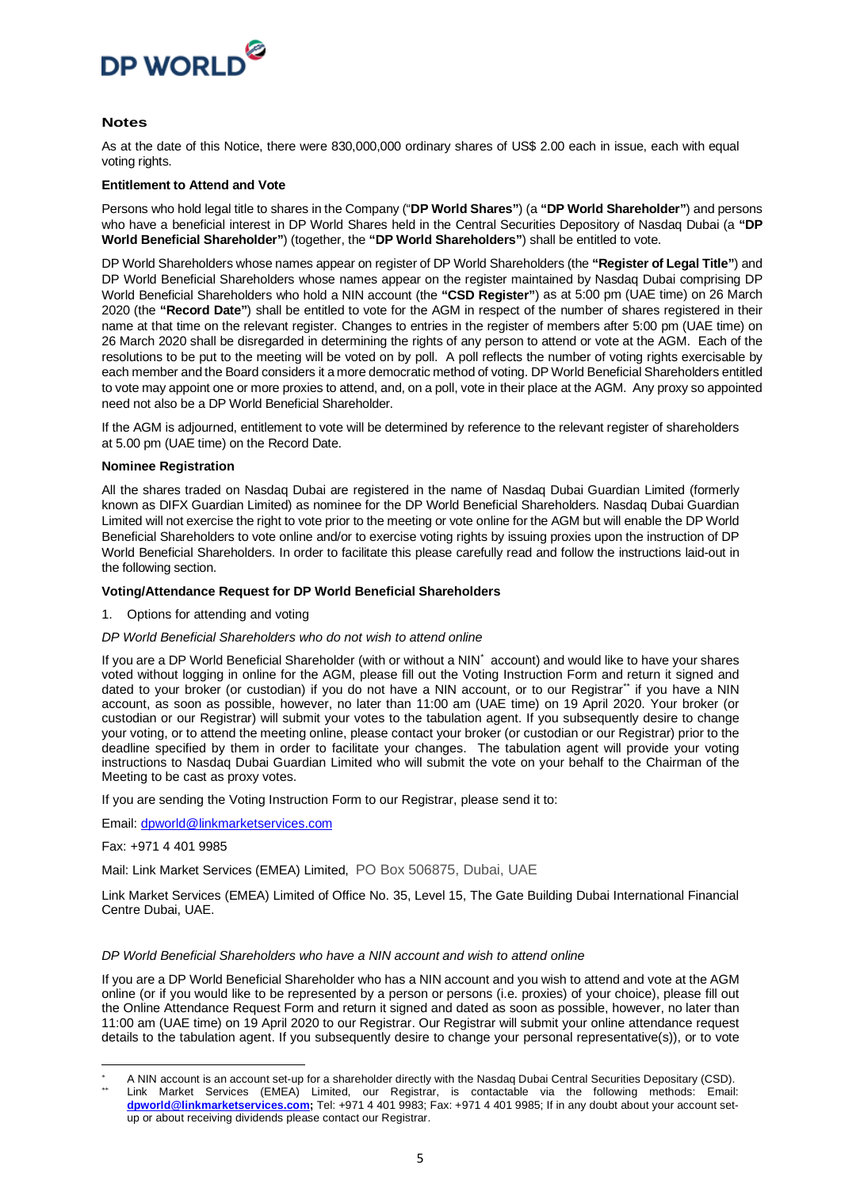

#### **Notes**

As at the date of this Notice, there were 830,000,000 ordinary shares of US\$ 2.00 each in issue, each with equal voting rights.

#### **Entitlement to Attend and Vote**

Persons who hold legal title to shares in the Company ("**DP World Shares"**) (a **"DP World Shareholder"**) and persons who have a beneficial interest in DP World Shares held in the Central Securities Depository of Nasdaq Dubai (a **"DP World Beneficial Shareholder"**) (together, the **"DP World Shareholders"**) shall be entitled to vote.

DP World Shareholders whose names appear on register of DP World Shareholders (the **"Register of Legal Title"**) and DP World Beneficial Shareholders whose names appear on the register maintained by Nasdaq Dubai comprising DP World Beneficial Shareholders who hold a NIN account (the **"CSD Register"**) as at 5:00 pm (UAE time) on 26 March 2020 (the **"Record Date"**) shall be entitled to vote for the AGM in respect of the number of shares registered in their name at that time on the relevant register. Changes to entries in the register of members after 5:00 pm (UAE time) on 26 March 2020 shall be disregarded in determining the rights of any person to attend or vote at the AGM. Each of the resolutions to be put to the meeting will be voted on by poll. A poll reflects the number of voting rights exercisable by each member and the Board considers it a more democratic method of voting. DP World Beneficial Shareholders entitled to vote may appoint one or more proxies to attend, and, on a poll, vote in their place at the AGM. Any proxy so appointed need not also be a DP World Beneficial Shareholder.

If the AGM is adjourned, entitlement to vote will be determined by reference to the relevant register of shareholders at 5.00 pm (UAE time) on the Record Date.

#### **Nominee Registration**

All the shares traded on Nasdaq Dubai are registered in the name of Nasdaq Dubai Guardian Limited (formerly known as DIFX Guardian Limited) as nominee for the DP World Beneficial Shareholders. Nasdaq Dubai Guardian Limited will not exercise the right to vote prior to the meeting or vote online for the AGM but will enable the DP World Beneficial Shareholders to vote online and/or to exercise voting rights by issuing proxies upon the instruction of DP World Beneficial Shareholders. In order to facilitate this please carefully read and follow the instructions laid-out in the following section.

#### **Voting/Attendance Request for DP World Beneficial Shareholders**

#### 1. Options for attending and voting

#### *DP World Beneficial Shareholders who do not wish to attend online*

If you are a DP World Beneficial Shareholder (with or without a NIN[\\*](#page-4-0) account) and would like to have your shares voted without logging in online for the AGM, please fill out the Voting Instruction Form and return it signed and dated to vour broker (or custodian) if you do not have a NIN account, or to our Registra[r\\*\\*](#page-4-1) if you have a NIN account, as soon as possible, however, no later than 11:00 am (UAE time) on 19 April 2020. Your broker (or custodian or our Registrar) will submit your votes to the tabulation agent. If you subsequently desire to change your voting, or to attend the meeting online, please contact your broker (or custodian or our Registrar) prior to the deadline specified by them in order to facilitate your changes. The tabulation agent will provide your voting instructions to Nasdaq Dubai Guardian Limited who will submit the vote on your behalf to the Chairman of the Meeting to be cast as proxy votes.

If you are sending the Voting Instruction Form to our Registrar, please send it to:

Email: [dpworld@linkmarketservices.com](mailto:dpworld@linkmarketservices.com)

Fax: +971 4 401 9985

Mail: Link Market Services (EMEA) Limited, PO Box 506875, Dubai, UAE

Link Market Services (EMEA) Limited of Office No. 35, Level 15, The Gate Building Dubai International Financial Centre Dubai, UAE.

#### *DP World Beneficial Shareholders who have a NIN account and wish to attend online*

If you are a DP World Beneficial Shareholder who has a NIN account and you wish to attend and vote at the AGM online (or if you would like to be represented by a person or persons (i.e. proxies) of your choice), please fill out the Online Attendance Request Form and return it signed and dated as soon as possible, however, no later than 11:00 am (UAE time) on 19 April 2020 to our Registrar. Our Registrar will submit your online attendance request details to the tabulation agent. If you subsequently desire to change your personal representative(s)), or to vote

<span id="page-4-1"></span><span id="page-4-0"></span>A NIN account is an account set-up for a shareholder directly with the Nasdaq Dubai Central Securities Depositary (CSD). Link Market Services (EMEA) Limited, our Registrar, is contactable via the following methods: Email: **[dpworld@linkmarketservices.com;](mailto:dpworld@linkmarketservices.com)** Tel: +971 4 401 9983; Fax: +971 4 401 9985; If in any doubt about your account setup or about receiving dividends please contact our Registrar.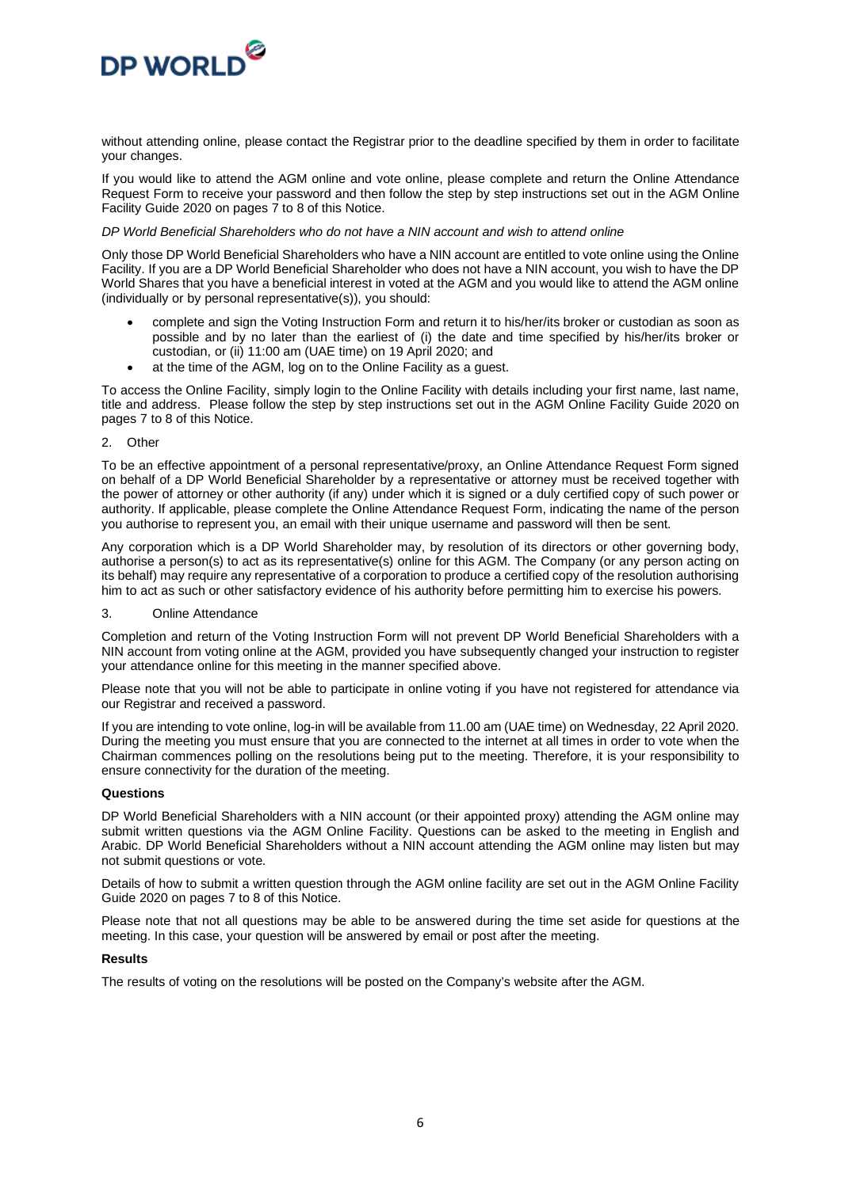

without attending online, please contact the Registrar prior to the deadline specified by them in order to facilitate your changes.

If you would like to attend the AGM online and vote online, please complete and return the Online Attendance Request Form to receive your password and then follow the step by step instructions set out in the AGM Online Facility Guide 2020 on pages 7 to 8 of this Notice.

#### *DP World Beneficial Shareholders who do not have a NIN account and wish to attend online*

Only those DP World Beneficial Shareholders who have a NIN account are entitled to vote online using the Online Facility. If you are a DP World Beneficial Shareholder who does not have a NIN account, you wish to have the DP World Shares that you have a beneficial interest in voted at the AGM and you would like to attend the AGM online (individually or by personal representative(s)), you should:

- complete and sign the Voting Instruction Form and return it to his/her/its broker or custodian as soon as possible and by no later than the earliest of (i) the date and time specified by his/her/its broker or custodian, or (ii) 11:00 am (UAE time) on 19 April 2020; and
- at the time of the AGM, log on to the Online Facility as a quest.

To access the Online Facility, simply login to the Online Facility with details including your first name, last name, title and address. Please follow the step by step instructions set out in the AGM Online Facility Guide 2020 on pages 7 to 8 of this Notice.

2. Other

To be an effective appointment of a personal representative/proxy, an Online Attendance Request Form signed on behalf of a DP World Beneficial Shareholder by a representative or attorney must be received together with the power of attorney or other authority (if any) under which it is signed or a duly certified copy of such power or authority. If applicable, please complete the Online Attendance Request Form, indicating the name of the person you authorise to represent you, an email with their unique username and password will then be sent.

Any corporation which is a DP World Shareholder may, by resolution of its directors or other governing body, authorise a person(s) to act as its representative(s) online for this AGM. The Company (or any person acting on its behalf) may require any representative of a corporation to produce a certified copy of the resolution authorising him to act as such or other satisfactory evidence of his authority before permitting him to exercise his powers.

3. Online Attendance

Completion and return of the Voting Instruction Form will not prevent DP World Beneficial Shareholders with a NIN account from voting online at the AGM, provided you have subsequently changed your instruction to register your attendance online for this meeting in the manner specified above.

Please note that you will not be able to participate in online voting if you have not registered for attendance via our Registrar and received a password.

If you are intending to vote online, log-in will be available from 11.00 am (UAE time) on Wednesday, 22 April 2020. During the meeting you must ensure that you are connected to the internet at all times in order to vote when the Chairman commences polling on the resolutions being put to the meeting. Therefore, it is your responsibility to ensure connectivity for the duration of the meeting.

#### **Questions**

DP World Beneficial Shareholders with a NIN account (or their appointed proxy) attending the AGM online may submit written questions via the AGM Online Facility. Questions can be asked to the meeting in English and Arabic. DP World Beneficial Shareholders without a NIN account attending the AGM online may listen but may not submit questions or vote.

Details of how to submit a written question through the AGM online facility are set out in the AGM Online Facility Guide 2020 on pages 7 to 8 of this Notice.

Please note that not all questions may be able to be answered during the time set aside for questions at the meeting. In this case, your question will be answered by email or post after the meeting.

#### **Results**

The results of voting on the resolutions will be posted on the Company's website after the AGM.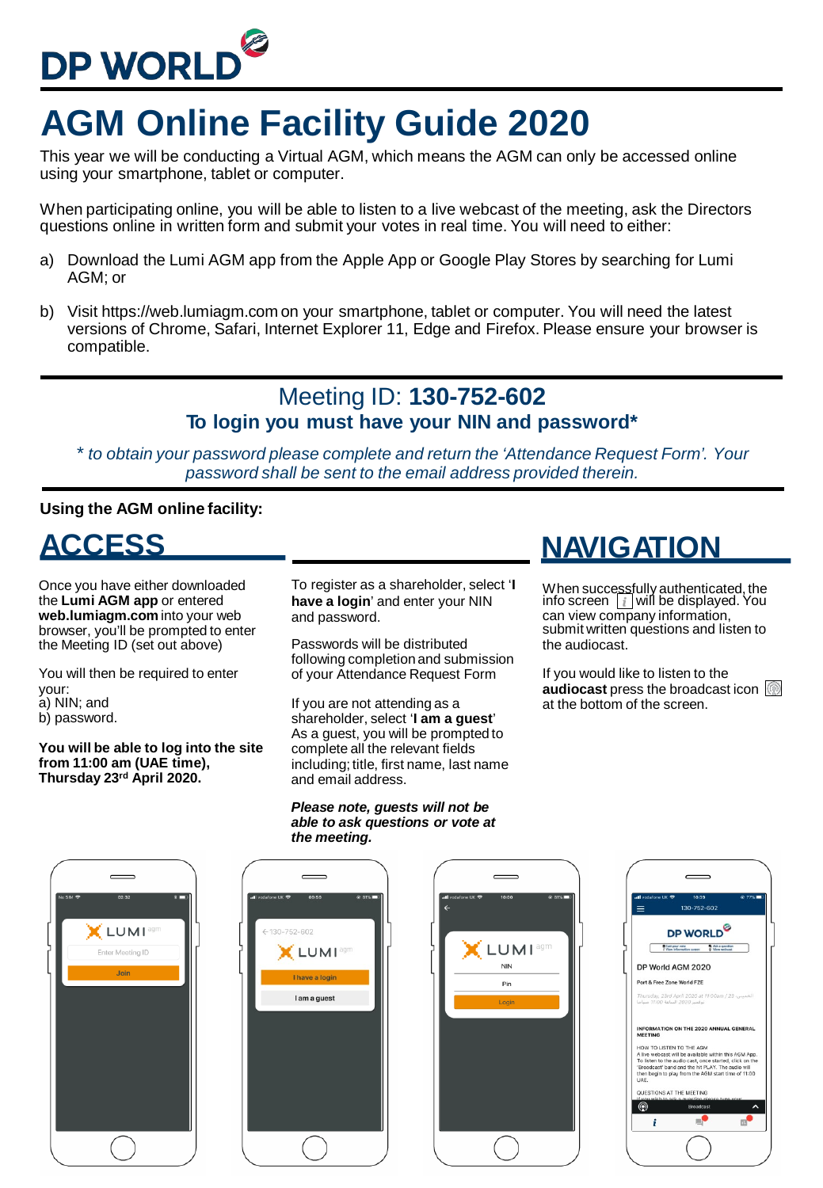

## **AGM Online Facility Guide 2020**

This year we will be conducting a Virtual AGM, which means the AGM can only be accessed online using your smartphone, tablet or computer.

When participating online, you will be able to listen to a live webcast of the meeting, ask the Directors questions online in written form and submit your votes in real time. You will need to either:

- a) Download the Lumi AGM app from the Apple App or Google Play Stores by searching for Lumi AGM; or
- b) Visit https://web.lumiagm.com on your smartphone, tablet or computer. You will need the latest versions of Chrome, Safari, Internet Explorer 11, Edge and Firefox. Please ensure your browser is compatible.

#### Meeting ID: **130-752-602 To login you must have your NIN and password\***

*\* to obtain your password please complete and return the 'Attendance Request Form'. Your password shall be sent to the email address provided therein.*

#### **Using the AGM online facility:**

**ACCESS** 

Once you have either downloaded the **Lumi AGM app** or entered **web.lumiagm.com** into your web browser, you'll be prompted to enter the Meeting ID (set out above)

You will then be required to enter your: a) NIN; and b) password.

**You will be able to log into the site from 11:00 am (UAE time), Thursday 23rd April 2020.**

To register as a shareholder, select '**I have a login**' and enter your NIN and password.

Passwords will be distributed following completion and submission of your Attendance Request Form

If you are not attending as a shareholder, select '**I am a guest**' As a guest, you will be prompted to complete all the relevant fields including; title, first name, last name and email address.

#### *Please note, guests will not be able to ask questions or vote at the meeting.*

### **NAVIGATION**

When successfully authenticated, the<br>info screen [**i ]**will be displayed. You can view company information, submit written questions and listen to the audiocast.

If you would like to listen to the **audiocast** press the broadcast icon at the bottom of the screen.